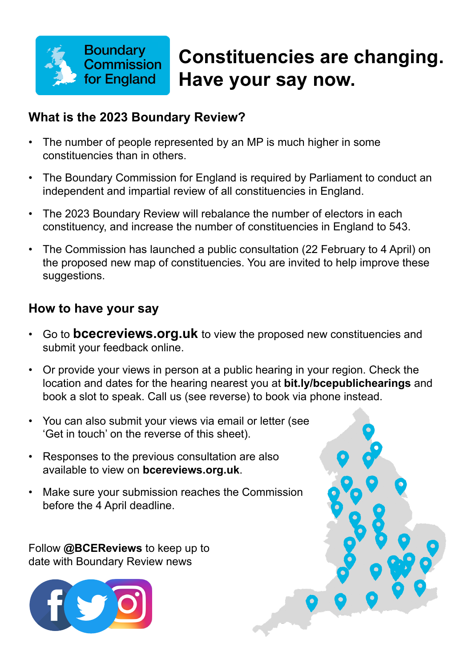

# **Constituencies are changing. Have your say now.**

#### **What is the 2023 Boundary Review?**

- The number of people represented by an MP is much higher in some constituencies than in others.
- The Boundary Commission for England is required by Parliament to conduct an independent and impartial review of all constituencies in England.
- The 2023 Boundary Review will rebalance the number of electors in each constituency, and increase the number of constituencies in England to 543.
- The Commission has launched a public consultation (22 February to 4 April) on the proposed new map of constituencies. You are invited to help improve these suggestions.

#### **How to have your say**

- Go to **[bcecreviews.org.uk](https://www.bcereviews.org.uk/)** to view the proposed new constituencies and submit your feedback online.
- Or provide your views in person at a public hearing in your region. Check the location and dates for the hearing nearest you at **[bit.ly/bcepublichearings](https://bit.ly/bcepublichearings)** and book a slot to speak. Call us (see reverse) to book via phone instead.
- You can also submit your views via email or letter (see 'Get in touch' on the reverse of this sheet).
- Responses to the previous consultation are also available to view on **[bcereviews.org.uk](https://www.bcereviews.org.uk/)**.
- Make sure your submission reaches the Commission before the 4 April deadline.

Follow **@BCEReviews** to keep up to date with Boundary Review news